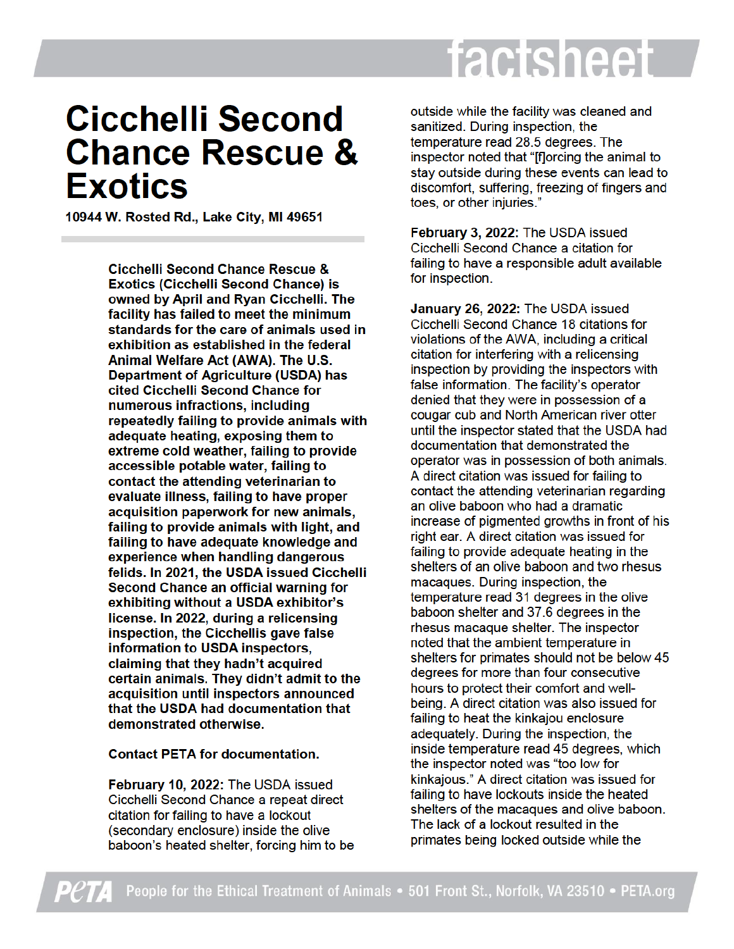## factsheet

## **Cicchelli Second Chance Rescue & Exotics**

10944 W. Rosted Rd., Lake City, MI 49651

**Cicchelli Second Chance Rescue & Exotics (Cicchelli Second Chance) is** owned by April and Ryan Cicchelli. The facility has failed to meet the minimum standards for the care of animals used in exhibition as established in the federal Animal Welfare Act (AWA). The U.S. Department of Agriculture (USDA) has cited Cicchelli Second Chance for numerous infractions, including repeatedly failing to provide animals with adequate heating, exposing them to extreme cold weather, failing to provide accessible potable water, failing to contact the attending veterinarian to evaluate illness, failing to have proper acquisition paperwork for new animals, failing to provide animals with light, and failing to have adequate knowledge and experience when handling dangerous felids. In 2021, the USDA issued Cicchelli Second Chance an official warning for exhibiting without a USDA exhibitor's license. In 2022, during a relicensing inspection, the Cicchellis gave false information to USDA inspectors, claiming that they hadn't acquired certain animals. They didn't admit to the acquisition until inspectors announced that the USDA had documentation that demonstrated otherwise.

## **Contact PETA for documentation.**

February 10, 2022: The USDA issued Cicchelli Second Chance a repeat direct citation for failing to have a lockout (secondary enclosure) inside the olive baboon's heated shelter, forcing him to be outside while the facility was cleaned and sanitized. During inspection, the temperature read 28.5 degrees. The inspector noted that "[f]orcing the animal to stay outside during these events can lead to discomfort, suffering, freezing of fingers and toes, or other injuries."

February 3, 2022: The USDA issued Cicchelli Second Chance a citation for failing to have a responsible adult available for inspection.

January 26, 2022: The USDA issued Cicchelli Second Chance 18 citations for violations of the AWA, including a critical citation for interfering with a relicensing inspection by providing the inspectors with false information. The facility's operator denied that they were in possession of a cougar cub and North American river otter until the inspector stated that the USDA had documentation that demonstrated the operator was in possession of both animals. A direct citation was issued for failing to contact the attending veterinarian regarding an olive baboon who had a dramatic increase of pigmented growths in front of his right ear. A direct citation was issued for failing to provide adequate heating in the shelters of an olive baboon and two rhesus macagues. During inspection, the temperature read 31 degrees in the olive baboon shelter and 37.6 degrees in the rhesus macaque shelter. The inspector noted that the ambient temperature in shelters for primates should not be below 45 degrees for more than four consecutive hours to protect their comfort and wellbeing. A direct citation was also issued for failing to heat the kinkajou enclosure adequately. During the inspection, the inside temperature read 45 degrees, which the inspector noted was "too low for kinkajous." A direct citation was issued for failing to have lockouts inside the heated shelters of the macagues and olive baboon. The lack of a lockout resulted in the primates being locked outside while the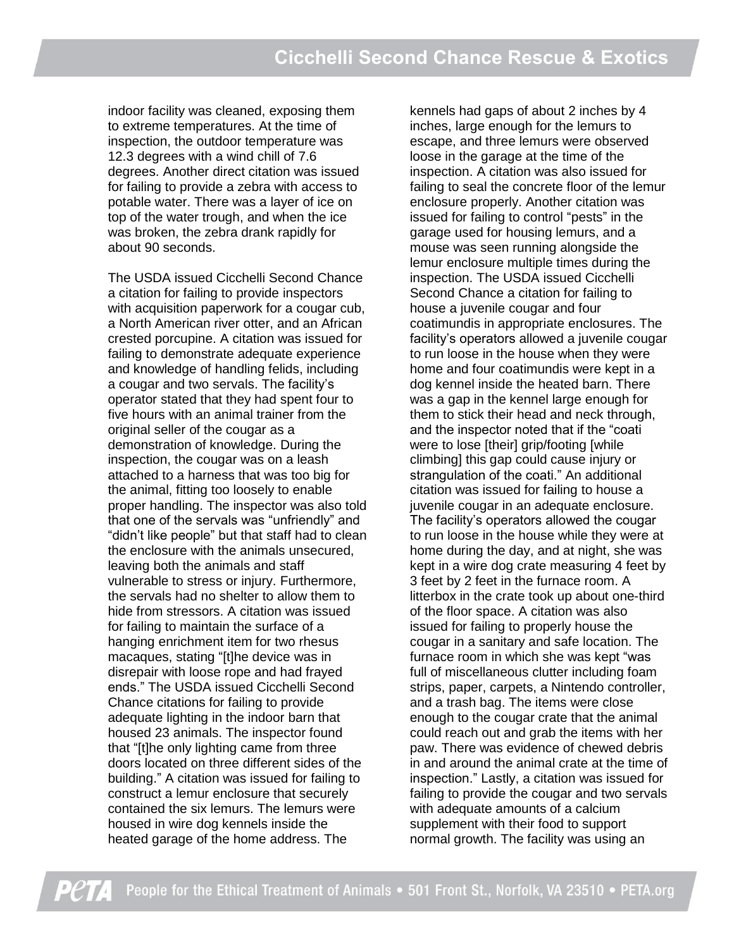indoor facility was cleaned, exposing them to extreme temperatures. At the time of inspection, the outdoor temperature was 12.3 degrees with a wind chill of 7.6 degrees. Another direct citation was issued for failing to provide a zebra with access to potable water. There was a layer of ice on top of the water trough, and when the ice was broken, the zebra drank rapidly for about 90 seconds.

The USDA issued Cicchelli Second Chance a citation for failing to provide inspectors with acquisition paperwork for a cougar cub, a North American river otter, and an African crested porcupine. A citation was issued for failing to demonstrate adequate experience and knowledge of handling felids, including a cougar and two servals. The facility's operator stated that they had spent four to five hours with an animal trainer from the original seller of the cougar as a demonstration of knowledge. During the inspection, the cougar was on a leash attached to a harness that was too big for the animal, fitting too loosely to enable proper handling. The inspector was also told that one of the servals was "unfriendly" and "didn't like people" but that staff had to clean the enclosure with the animals unsecured, leaving both the animals and staff vulnerable to stress or injury. Furthermore, the servals had no shelter to allow them to hide from stressors. A citation was issued for failing to maintain the surface of a hanging enrichment item for two rhesus macaques, stating "[t]he device was in disrepair with loose rope and had frayed ends." The USDA issued Cicchelli Second Chance citations for failing to provide adequate lighting in the indoor barn that housed 23 animals. The inspector found that "[t]he only lighting came from three doors located on three different sides of the building." A citation was issued for failing to construct a lemur enclosure that securely contained the six lemurs. The lemurs were housed in wire dog kennels inside the heated garage of the home address. The

kennels had gaps of about 2 inches by 4 inches, large enough for the lemurs to escape, and three lemurs were observed loose in the garage at the time of the inspection. A citation was also issued for failing to seal the concrete floor of the lemur enclosure properly. Another citation was issued for failing to control "pests" in the garage used for housing lemurs, and a mouse was seen running alongside the lemur enclosure multiple times during the inspection. The USDA issued Cicchelli Second Chance a citation for failing to house a juvenile cougar and four coatimundis in appropriate enclosures. The facility's operators allowed a juvenile cougar to run loose in the house when they were home and four coatimundis were kept in a dog kennel inside the heated barn. There was a gap in the kennel large enough for them to stick their head and neck through, and the inspector noted that if the "coati were to lose [their] grip/footing [while climbing] this gap could cause injury or strangulation of the coati." An additional citation was issued for failing to house a juvenile cougar in an adequate enclosure. The facility's operators allowed the cougar to run loose in the house while they were at home during the day, and at night, she was kept in a wire dog crate measuring 4 feet by 3 feet by 2 feet in the furnace room. A litterbox in the crate took up about one-third of the floor space. A citation was also issued for failing to properly house the cougar in a sanitary and safe location. The furnace room in which she was kept "was full of miscellaneous clutter including foam strips, paper, carpets, a Nintendo controller, and a trash bag. The items were close enough to the cougar crate that the animal could reach out and grab the items with her paw. There was evidence of chewed debris in and around the animal crate at the time of inspection." Lastly, a citation was issued for failing to provide the cougar and two servals with adequate amounts of a calcium supplement with their food to support normal growth. The facility was using an

People for the Ethical Treatment of Animals • 501 Front St., Norfolk, VA 23510 • PETA.org